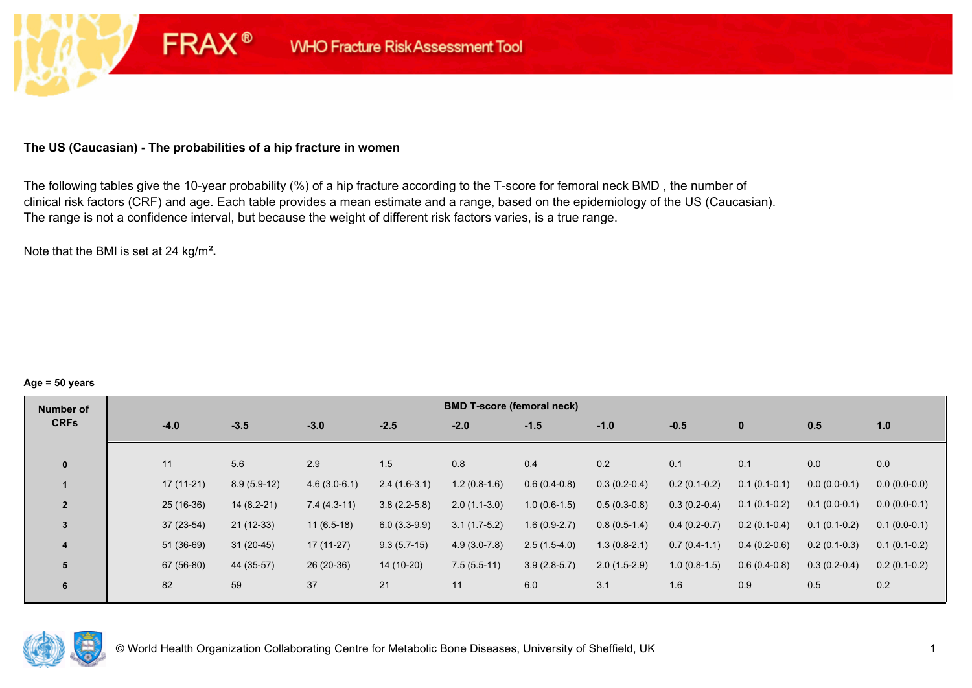# **The US (Caucasian) - The probabilities of a hip fracture in women**

**FRAX®** 

The following tables give the 10-year probability (%) of a hip fracture according to the T-score for femoral neck BMD , the number of clinical risk factors (CRF) and age. Each table provides a mean estimate and a range, based on the epidemiology of the US (Caucasian). The range is not a confidence interval, but because the weight of different risk factors varies, is a true range.

Note that the BMI is set at 24 kg/m²**.** 

#### **Age = 50 years**

| Number of      | <b>BMD T-score (femoral neck)</b> |               |                |                |                |                |                |                |                |                |                |  |  |
|----------------|-----------------------------------|---------------|----------------|----------------|----------------|----------------|----------------|----------------|----------------|----------------|----------------|--|--|
| <b>CRFs</b>    | $-4.0$                            | $-3.5$        | $-3.0$         | $-2.5$         | $-2.0$         | $-1.5$         | $-1.0$         | $-0.5$         | $\mathbf{0}$   | 0.5            | 1.0            |  |  |
|                |                                   |               |                |                |                |                |                |                |                |                |                |  |  |
| $\mathbf{0}$   | 11                                | 5.6           | 2.9            | 1.5            | 0.8            | 0.4            | 0.2            | 0.1            | 0.1            | 0.0            | 0.0            |  |  |
|                | $17(11-21)$                       | $8.9(5.9-12)$ | $4.6(3.0-6.1)$ | $2.4(1.6-3.1)$ | $1.2(0.8-1.6)$ | $0.6(0.4-0.8)$ | $0.3(0.2-0.4)$ | $0.2(0.1-0.2)$ | $0.1(0.1-0.1)$ | $0.0(0.0-0.1)$ | $0.0(0.0-0.0)$ |  |  |
| $\overline{2}$ | $25(16-36)$                       | $14(8.2-21)$  | $7.4(4.3-11)$  | $3.8(2.2-5.8)$ | $2.0(1.1-3.0)$ | $1.0(0.6-1.5)$ | $0.5(0.3-0.8)$ | $0.3(0.2-0.4)$ | $0.1(0.1-0.2)$ | $0.1(0.0-0.1)$ | $0.0(0.0-0.1)$ |  |  |
| 3              | $37(23-54)$                       | $21(12-33)$   | $11(6.5-18)$   | $6.0(3.3-9.9)$ | $3.1(1.7-5.2)$ | $1.6(0.9-2.7)$ | $0.8(0.5-1.4)$ | $0.4(0.2-0.7)$ | $0.2(0.1-0.4)$ | $0.1(0.1-0.2)$ | $0.1(0.0-0.1)$ |  |  |
| 4              | $51(36-69)$                       | $31(20-45)$   | $17(11-27)$    | $9.3(5.7-15)$  | $4.9(3.0-7.8)$ | $2.5(1.5-4.0)$ | $1.3(0.8-2.1)$ | $0.7(0.4-1.1)$ | $0.4(0.2-0.6)$ | $0.2(0.1-0.3)$ | $0.1(0.1-0.2)$ |  |  |
| 5              | 67 (56-80)                        | 44 (35-57)    | 26 (20-36)     | 14 (10-20)     | $7.5(5.5-11)$  | $3.9(2.8-5.7)$ | $2.0(1.5-2.9)$ | $1.0(0.8-1.5)$ | $0.6(0.4-0.8)$ | $0.3(0.2-0.4)$ | $0.2(0.1-0.2)$ |  |  |
| 6              | 82                                | 59            | 37             | 21             | 11             | 6.0            | 3.1            | 1.6            | 0.9            | 0.5            | 0.2            |  |  |

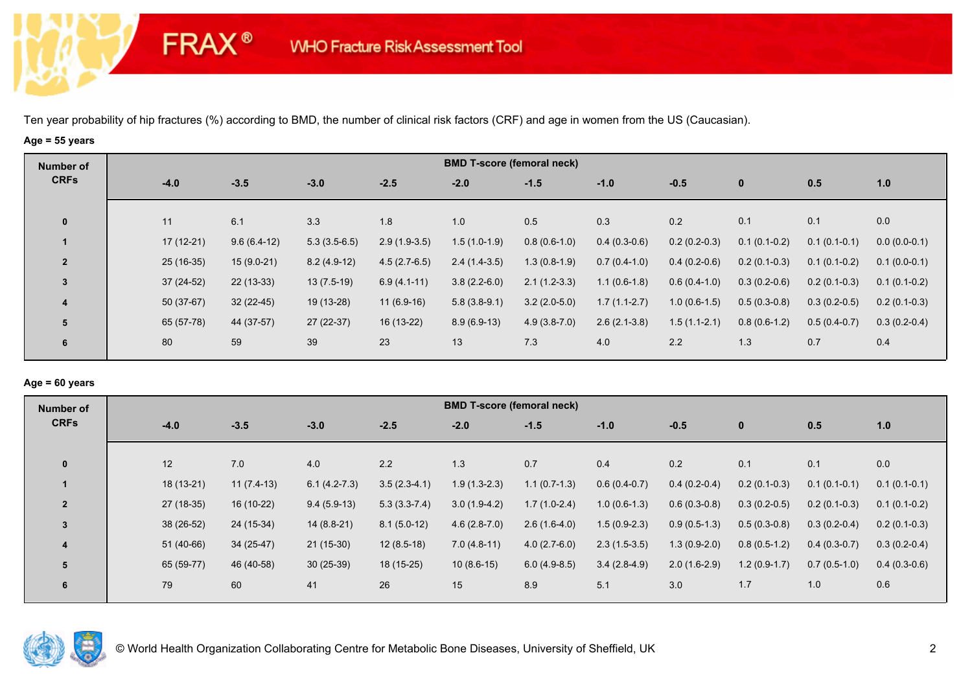# **Age = 55 years**

**FRAX®** 

| <b>BMD T-score (femoral neck)</b><br>Number of                                                                      |                                                                                        |  |  |  |  |  |  |  |  |  |  |  |  |
|---------------------------------------------------------------------------------------------------------------------|----------------------------------------------------------------------------------------|--|--|--|--|--|--|--|--|--|--|--|--|
| <b>CRFs</b><br>$-3.5$<br>$-3.0$<br>$-2.5$<br>$-2.0$<br>$-4.0$<br>$-1.5$<br>$-1.0$                                   | $-0.5$<br>$\bf{0}$<br>0.5<br>1.0                                                       |  |  |  |  |  |  |  |  |  |  |  |  |
| 6.1<br>3.3<br>1.8<br>11<br>1.0<br>0.5<br>0.3<br>$\mathbf 0$                                                         | 0.2<br>0.1<br>0.0<br>0.1                                                               |  |  |  |  |  |  |  |  |  |  |  |  |
| $17(12-21)$<br>$9.6(6.4-12)$<br>$5.3(3.5-6.5)$<br>$2.9(1.9-3.5)$<br>$0.8(0.6-1.0)$<br>$1.5(1.0-1.9)$                | $0.0(0.0-0.1)$<br>$0.4(0.3-0.6)$<br>$0.2(0.2-0.3)$<br>$0.1(0.1-0.2)$<br>$0.1(0.1-0.1)$ |  |  |  |  |  |  |  |  |  |  |  |  |
| 25 (16-35)<br>$15(9.0-21)$<br>$4.5(2.7-6.5)$<br>$1.3(0.8-1.9)$<br>$8.2(4.9-12)$<br>$2.4(1.4-3.5)$<br>$\overline{2}$ | $0.7(0.4-1.0)$<br>$0.4(0.2-0.6)$<br>$0.2(0.1-0.3)$<br>$0.1(0.1-0.2)$<br>$0.1(0.0-0.1)$ |  |  |  |  |  |  |  |  |  |  |  |  |
| $37(24-52)$<br>$22(13-33)$<br>$13(7.5-19)$<br>$3.8(2.2-6.0)$<br>$2.1(1.2-3.3)$<br>3<br>$6.9(4.1-11)$                | $1.1(0.6-1.8)$<br>$0.6(0.4-1.0)$<br>$0.3(0.2-0.6)$<br>$0.2(0.1-0.3)$<br>$0.1(0.1-0.2)$ |  |  |  |  |  |  |  |  |  |  |  |  |
| $50(37-67)$<br>19 (13-28)<br>$11(6.9-16)$<br>$3.2(2.0-5.0)$<br>$32(22-45)$<br>$5.8(3.8-9.1)$<br>4                   | $1.7(1.1-2.7)$<br>$1.0(0.6-1.5)$<br>$0.5(0.3-0.8)$<br>$0.3(0.2-0.5)$<br>$0.2(0.1-0.3)$ |  |  |  |  |  |  |  |  |  |  |  |  |
| 5<br>65 (57-78)<br>44 (37-57)<br>$27(22-37)$<br>16 (13-22)<br>$8.9(6.9-13)$<br>$4.9(3.8-7.0)$                       | $2.6(2.1-3.8)$<br>$1.5(1.1-2.1)$<br>$0.8(0.6-1.2)$<br>$0.5(0.4-0.7)$<br>$0.3(0.2-0.4)$ |  |  |  |  |  |  |  |  |  |  |  |  |
| 39<br>23<br>80<br>59<br>13<br>7.3<br>4.0<br>6                                                                       | 2.2<br>1.3<br>0.7<br>0.4                                                               |  |  |  |  |  |  |  |  |  |  |  |  |

# **Age = 60 years**

| Number of      | <b>BMD T-score (femoral neck)</b> |              |                |                |                |                |                |                |                |                |                |  |  |
|----------------|-----------------------------------|--------------|----------------|----------------|----------------|----------------|----------------|----------------|----------------|----------------|----------------|--|--|
| <b>CRFs</b>    | $-4.0$                            | $-3.5$       | $-3.0$         | $-2.5$         | $-2.0$         | $-1.5$         | $-1.0$         | $-0.5$         | $\mathbf 0$    | 0.5            | 1.0            |  |  |
| $\mathbf{0}$   | 12                                | 7.0          | 4.0            | 2.2            | 1.3            | 0.7            | 0.4            | 0.2            | 0.1            | 0.1            | 0.0            |  |  |
|                | 18 (13-21)                        | $11(7.4-13)$ | $6.1(4.2-7.3)$ | $3.5(2.3-4.1)$ | $1.9(1.3-2.3)$ | $1.1(0.7-1.3)$ | $0.6(0.4-0.7)$ | $0.4(0.2-0.4)$ | $0.2(0.1-0.3)$ | $0.1(0.1-0.1)$ | $0.1(0.1-0.1)$ |  |  |
| $\overline{2}$ | $27(18-35)$                       | 16 (10-22)   | $9.4(5.9-13)$  | $5.3(3.3-7.4)$ | $3.0(1.9-4.2)$ | $1.7(1.0-2.4)$ | $1.0(0.6-1.3)$ | $0.6(0.3-0.8)$ | $0.3(0.2-0.5)$ | $0.2(0.1-0.3)$ | $0.1(0.1-0.2)$ |  |  |
| 3              | 38 (26-52)                        | 24 (15-34)   | $14(8.8-21)$   | $8.1(5.0-12)$  | $4.6(2.8-7.0)$ | $2.6(1.6-4.0)$ | $1.5(0.9-2.3)$ | $0.9(0.5-1.3)$ | $0.5(0.3-0.8)$ | $0.3(0.2-0.4)$ | $0.2(0.1-0.3)$ |  |  |
| 4              | $51(40-66)$                       | $34(25-47)$  | $21(15-30)$    | $12(8.5-18)$   | $7.0(4.8-11)$  | $4.0(2.7-6.0)$ | $2.3(1.5-3.5)$ | $1.3(0.9-2.0)$ | $0.8(0.5-1.2)$ | $0.4(0.3-0.7)$ | $0.3(0.2-0.4)$ |  |  |
| 5              | 65 (59-77)                        | 46 (40-58)   | $30(25-39)$    | $18(15-25)$    | $10(8.6-15)$   | $6.0(4.9-8.5)$ | $3.4(2.8-4.9)$ | $2.0(1.6-2.9)$ | $1.2(0.9-1.7)$ | $0.7(0.5-1.0)$ | $0.4(0.3-0.6)$ |  |  |
| 6              | 79                                | 60           | 41             | 26             | 15             | 8.9            | 5.1            | 3.0            | 1.7            | 1.0            | 0.6            |  |  |

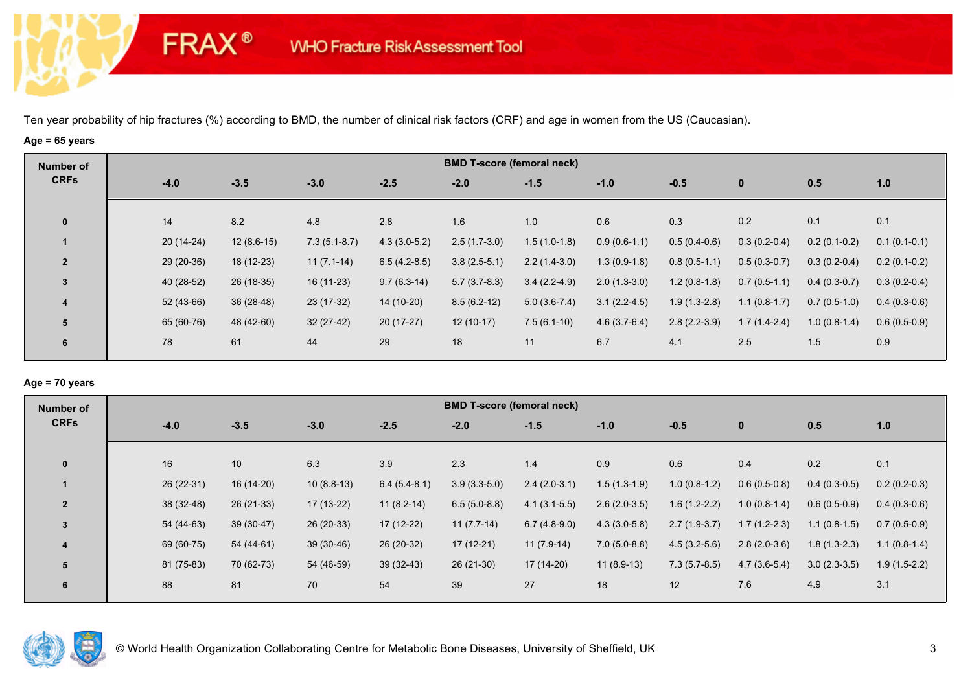# **Age = 65 years**

**FRAX®** 

| Number of      | <b>BMD T-score (femoral neck)</b> |              |                |                |                |                |                |                |                |                |                |  |  |
|----------------|-----------------------------------|--------------|----------------|----------------|----------------|----------------|----------------|----------------|----------------|----------------|----------------|--|--|
| <b>CRFs</b>    | $-4.0$                            | $-3.5$       | $-3.0$         | $-2.5$         | $-2.0$         | $-1.5$         | $-1.0$         | $-0.5$         | $\bf{0}$       | 0.5            | 1.0            |  |  |
| $\mathbf 0$    | 14                                | 8.2          | 4.8            | 2.8            | 1.6            | 1.0            | 0.6            | 0.3            | 0.2            | 0.1            | 0.1            |  |  |
|                | $20(14-24)$                       | $12(8.6-15)$ | $7.3(5.1-8.7)$ | $4.3(3.0-5.2)$ | $2.5(1.7-3.0)$ | $1.5(1.0-1.8)$ | $0.9(0.6-1.1)$ | $0.5(0.4-0.6)$ | $0.3(0.2-0.4)$ | $0.2(0.1-0.2)$ | $0.1(0.1-0.1)$ |  |  |
| $\overline{2}$ | 29 (20-36)                        | 18 (12-23)   | $11(7.1-14)$   | $6.5(4.2-8.5)$ | $3.8(2.5-5.1)$ | $2.2(1.4-3.0)$ | $1.3(0.9-1.8)$ | $0.8(0.5-1.1)$ | $0.5(0.3-0.7)$ | $0.3(0.2-0.4)$ | $0.2(0.1-0.2)$ |  |  |
| $\mathbf{3}$   | 40 (28-52)                        | 26 (18-35)   | 16 (11-23)     | $9.7(6.3-14)$  | $5.7(3.7-8.3)$ | $3.4(2.2-4.9)$ | $2.0(1.3-3.0)$ | $1.2(0.8-1.8)$ | $0.7(0.5-1.1)$ | $0.4(0.3-0.7)$ | $0.3(0.2-0.4)$ |  |  |
| 4              | 52 (43-66)                        | $36(28-48)$  | 23 (17-32)     | 14 (10-20)     | $8.5(6.2-12)$  | $5.0(3.6-7.4)$ | $3.1(2.2-4.5)$ | $1.9(1.3-2.8)$ | $1.1(0.8-1.7)$ | $0.7(0.5-1.0)$ | $0.4(0.3-0.6)$ |  |  |
| 5              | 65 (60-76)                        | 48 (42-60)   | $32(27-42)$    | $20(17-27)$    | $12(10-17)$    | $7.5(6.1-10)$  | $4.6(3.7-6.4)$ | $2.8(2.2-3.9)$ | $1.7(1.4-2.4)$ | $1.0(0.8-1.4)$ | $0.6(0.5-0.9)$ |  |  |
| 6              | 78                                | 61           | 44             | 29             | 18             | 11             | 6.7            | 4.1            | 2.5            | 1.5            | 0.9            |  |  |

### **Age = 70 years**

| Number of      | <b>BMD T-score (femoral neck)</b> |             |              |                |                |                |                |                |                |                |                |  |  |
|----------------|-----------------------------------|-------------|--------------|----------------|----------------|----------------|----------------|----------------|----------------|----------------|----------------|--|--|
| <b>CRFs</b>    | $-4.0$                            | $-3.5$      | $-3.0$       | $-2.5$         | $-2.0$         | $-1.5$         | $-1.0$         | $-0.5$         | $\mathbf 0$    | 0.5            | 1.0            |  |  |
| $\mathbf{0}$   | 16                                | 10          | 6.3          | 3.9            | 2.3            | 1.4            | 0.9            | 0.6            | 0.4            | 0.2            | 0.1            |  |  |
|                |                                   |             |              |                |                |                |                |                |                |                |                |  |  |
|                | 26 (22-31)                        | 16 (14-20)  | $10(8.8-13)$ | $6.4(5.4-8.1)$ | $3.9(3.3-5.0)$ | $2.4(2.0-3.1)$ | $1.5(1.3-1.9)$ | $1.0(0.8-1.2)$ | $0.6(0.5-0.8)$ | $0.4(0.3-0.5)$ | $0.2(0.2-0.3)$ |  |  |
| $\overline{2}$ | 38 (32-48)                        | $26(21-33)$ | $17(13-22)$  | $11(8.2-14)$   | $6.5(5.0-8.8)$ | $4.1(3.1-5.5)$ | $2.6(2.0-3.5)$ | $1.6(1.2-2.2)$ | $1.0(0.8-1.4)$ | $0.6(0.5-0.9)$ | $0.4(0.3-0.6)$ |  |  |
| $\overline{3}$ | 54 (44-63)                        | $39(30-47)$ | 26 (20-33)   | $17(12-22)$    | $11(7.7-14)$   | $6.7(4.8-9.0)$ | $4.3(3.0-5.8)$ | $2.7(1.9-3.7)$ | $1.7(1.2-2.3)$ | $1.1(0.8-1.5)$ | $0.7(0.5-0.9)$ |  |  |
| 4              | 69 (60-75)                        | 54 (44-61)  | $39(30-46)$  | 26 (20-32)     | $17(12-21)$    | $11(7.9-14)$   | $7.0(5.0-8.8)$ | $4.5(3.2-5.6)$ | $2.8(2.0-3.6)$ | $1.8(1.3-2.3)$ | $1.1(0.8-1.4)$ |  |  |
| 5              | 81 (75-83)                        | 70 (62-73)  | 54 (46-59)   | $39(32-43)$    | $26(21-30)$    | $17(14-20)$    | $11(8.9-13)$   | $7.3(5.7-8.5)$ | $4.7(3.6-5.4)$ | $3.0(2.3-3.5)$ | $1.9(1.5-2.2)$ |  |  |
| 6              | 88                                | 81          | 70           | 54             | 39             | 27             | 18             | 12             | 7.6            | 4.9            | 3.1            |  |  |

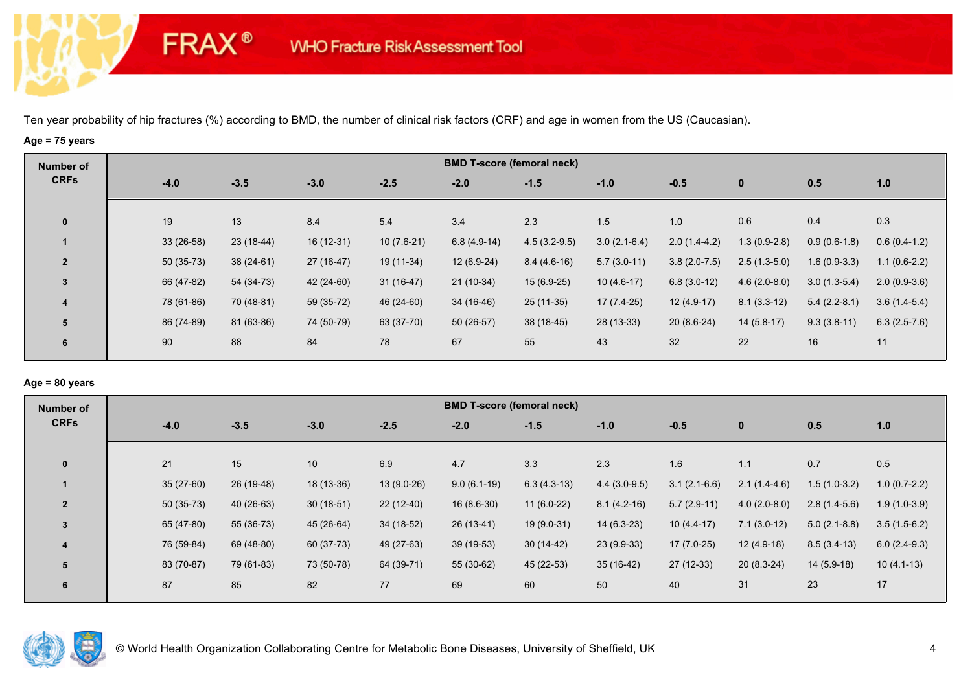# **Age = 75 years**

**FRAX®** 

| Number of      | <b>BMD T-score (femoral neck)</b> |             |             |              |               |                |                |                |                |                |                |  |  |
|----------------|-----------------------------------|-------------|-------------|--------------|---------------|----------------|----------------|----------------|----------------|----------------|----------------|--|--|
| <b>CRFs</b>    | $-4.0$                            | $-3.5$      | $-3.0$      | $-2.5$       | $-2.0$        | $-1.5$         | $-1.0$         | $-0.5$         | $\bf{0}$       | 0.5            | 1.0            |  |  |
| $\mathbf 0$    | 19                                | 13          | 8.4         | 5.4          | 3.4           | 2.3            | 1.5            | 1.0            | 0.6            | 0.4            | 0.3            |  |  |
|                | $33(26-58)$                       | $23(18-44)$ | 16 (12-31)  | $10(7.6-21)$ | $6.8(4.9-14)$ | $4.5(3.2-9.5)$ | $3.0(2.1-6.4)$ | $2.0(1.4-4.2)$ | $1.3(0.9-2.8)$ | $0.9(0.6-1.8)$ | $0.6(0.4-1.2)$ |  |  |
| $\overline{2}$ | $50(35-73)$                       | $38(24-61)$ | $27(16-47)$ | 19 (11-34)   | $12(6.9-24)$  | $8.4(4.6-16)$  | $5.7(3.0-11)$  | $3.8(2.0-7.5)$ | $2.5(1.3-5.0)$ | $1.6(0.9-3.3)$ | $1.1(0.6-2.2)$ |  |  |
| 3              | 66 (47-82)                        | 54 (34-73)  | 42 (24-60)  | $31(16-47)$  | $21(10-34)$   | $15(6.9-25)$   | $10(4.6-17)$   | $6.8(3.0-12)$  | $4.6(2.0-8.0)$ | $3.0(1.3-5.4)$ | $2.0(0.9-3.6)$ |  |  |
| 4              | 78 (61-86)                        | 70 (48-81)  | 59 (35-72)  | 46 (24-60)   | 34 (16-46)    | $25(11-35)$    | $17(7.4-25)$   | $12(4.9-17)$   | $8.1(3.3-12)$  | $5.4(2.2-8.1)$ | $3.6(1.4-5.4)$ |  |  |
| 5              | 86 (74-89)                        | 81 (63-86)  | 74 (50-79)  | 63 (37-70)   | $50(26-57)$   | $38(18-45)$    | 28 (13-33)     | $20(8.6-24)$   | $14(5.8-17)$   | $9.3(3.8-11)$  | $6.3(2.5-7.6)$ |  |  |
| 6              | 90                                | 88          | 84          | 78           | 67            | 55             | 43             | 32             | 22             | 16             | 11             |  |  |

# **Age = 80 years**

| <b>CRFs</b><br>$-3.5$<br>$-2.5$<br>$-4.0$<br>$-3.0$<br>$-2.0$<br>$-1.5$<br>$-1.0$<br>$-0.5$<br>0.5<br>$\mathbf{0}$                                                              | 1.0            |
|---------------------------------------------------------------------------------------------------------------------------------------------------------------------------------|----------------|
|                                                                                                                                                                                 |                |
| 0.7<br>21<br>15<br>10<br>6.9<br>4.7<br>2.3<br>1.1<br>$\mathbf{0}$<br>3.3<br>1.6                                                                                                 | 0.5            |
| $35(27-60)$<br>$13(9.0-26)$<br>26 (19-48)<br>18 (13-36)<br>$9.0(6.1-19)$<br>$6.3(4.3-13)$<br>$4.4(3.0-9.5)$<br>$3.1(2.1-6.6)$<br>$2.1(1.4-4.6)$<br>$1.5(1.0-3.2)$               | $1.0(0.7-2.2)$ |
| $50(35-73)$<br>40 (26-63)<br>$16(8.6-30)$<br>$30(18-51)$<br>$22(12-40)$<br>$11(6.0-22)$<br>$8.1(4.2-16)$<br>$5.7(2.9-11)$<br>$4.0(2.0-8.0)$<br>$\overline{2}$<br>$2.8(1.4-5.6)$ | $1.9(1.0-3.9)$ |
| 65 (47-80)<br>55 (36-73)<br>45 (26-64)<br>$14(6.3-23)$<br>34 (18-52)<br>$26(13-41)$<br>$19(9.0-31)$<br>$7.1(3.0-12)$<br>$5.0(2.1-8.8)$<br>$10(4.4-17)$<br>$\overline{3}$        | $3.5(1.5-6.2)$ |
| 76 (59-84)<br>69 (48-80)<br>60 (37-73)<br>49 (27-63)<br>$39(19-53)$<br>$30(14-42)$<br>$23(9.9-33)$<br>$17(7.0-25)$<br>$12(4.9-18)$<br>$8.5(3.4-13)$<br>$\overline{4}$           | $6.0(2.4-9.3)$ |
| 83 (70-87)<br>79 (61-83)<br>73 (50-78)<br>$55(30-62)$<br>45 (22-53)<br>$35(16-42)$<br>27 (12-33)<br>$20(8.3-24)$<br>64 (39-71)<br>$14(5.9-18)$<br>5                             | $10(4.1-13)$   |
| 87<br>85<br>82<br>77<br>50<br>69<br>60<br>31<br>23<br>40<br>6                                                                                                                   | 17             |